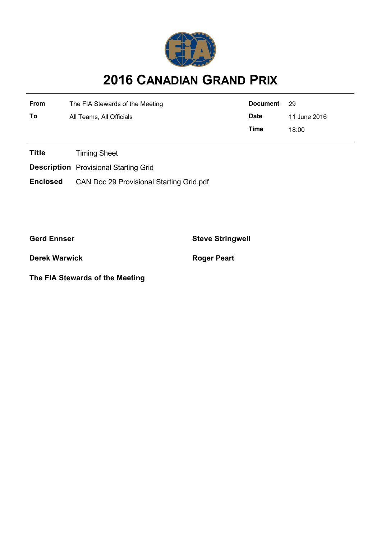

## **2016 CANADIAN GRAND PRIX**

| <b>From</b> | The FIA Stewards of the Meeting | Document    | - 29         |
|-------------|---------------------------------|-------------|--------------|
| To          | All Teams, All Officials        | <b>Date</b> | 11 June 2016 |
|             |                                 | Time        | 18:00        |

**Title** Timing Sheet

**Description** Provisional Starting Grid

**Enclosed** CAN Doc 29 Provisional Starting Grid.pdf

**Gerd Ennser Steve Stringwell**

**Derek Warwick Roger Peart** 

**The FIA Stewards of the Meeting**